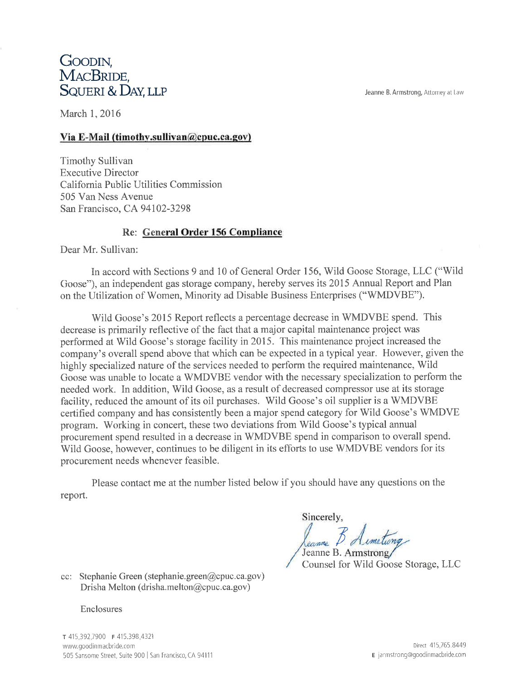Jeanne B. Armstrong, Attorney at Law

# GOODIN, MACBRIDE. SQUERI & DAY, LLP

March 1, 2016

# Via E-Mail (timothy.sullivan@cpuc.ca.gov)

Timothy Sullivan **Executive Director** California Public Utilities Commission 505 Van Ness Avenue San Francisco, CA 94102-3298

# Re: General Order 156 Compliance

Dear Mr. Sullivan:

In accord with Sections 9 and 10 of General Order 156, Wild Goose Storage, LLC ("Wild Goose"), an independent gas storage company, hereby serves its 2015 Annual Report and Plan on the Utilization of Women, Minority ad Disable Business Enterprises ("WMDVBE").

Wild Goose's 2015 Report reflects a percentage decrease in WMDVBE spend. This decrease is primarily reflective of the fact that a major capital maintenance project was performed at Wild Goose's storage facility in 2015. This maintenance project increased the company's overall spend above that which can be expected in a typical year. However, given the highly specialized nature of the services needed to perform the required maintenance, Wild Goose was unable to locate a WMDVBE vendor with the necessary specialization to perform the needed work. In addition, Wild Goose, as a result of decreased compressor use at its storage facility, reduced the amount of its oil purchases. Wild Goose's oil supplier is a WMDVBE certified company and has consistently been a major spend category for Wild Goose's WMDVE program. Working in concert, these two deviations from Wild Goose's typical annual procurement spend resulted in a decrease in WMDVBE spend in comparison to overall spend. Wild Goose, however, continues to be diligent in its efforts to use WMDVBE vendors for its procurement needs whenever feasible.

Please contact me at the number listed below if you should have any questions on the report.

Sincerely, Leanne Jeanne B. Armstrong

Counsel for Wild Goose Storage, LLC

cc: Stephanie Green (stephanie.green@cpuc.ca.gov) Drisha Melton (drisha.melton@cpuc.ca.gov)

### Enclosures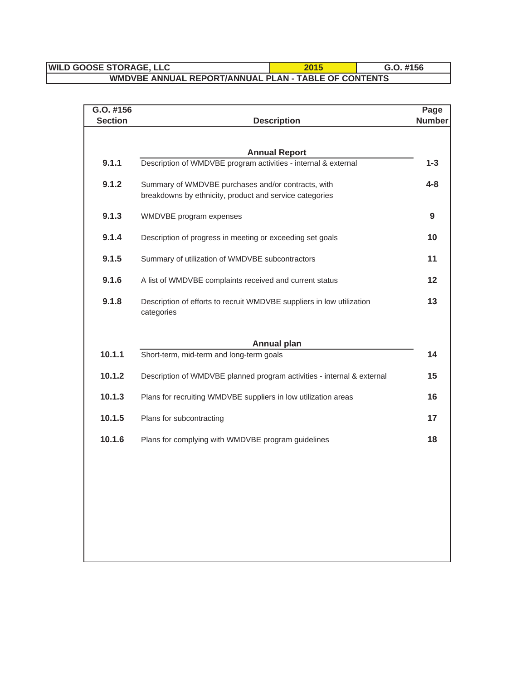# **WILD GOOSE STORAGE, LLC** 2015 **C.O. #156 WMDVBE ANNUAL REPORT/ANNUAL PLAN - TABLE OF CONTENTS**

| G.O. #156      |                                                                                                               | Page          |
|----------------|---------------------------------------------------------------------------------------------------------------|---------------|
| <b>Section</b> | <b>Description</b>                                                                                            | <b>Number</b> |
|                |                                                                                                               |               |
|                | <b>Annual Report</b>                                                                                          |               |
| 9.1.1          | Description of WMDVBE program activities - internal & external                                                | $1 - 3$       |
| 9.1.2          | Summary of WMDVBE purchases and/or contracts, with<br>breakdowns by ethnicity, product and service categories | $4 - 8$       |
| 9.1.3          | WMDVBE program expenses                                                                                       | 9             |
| 9.1.4          | Description of progress in meeting or exceeding set goals                                                     | 10            |
| 9.1.5          | Summary of utilization of WMDVBE subcontractors                                                               | 11            |
| 9.1.6          | A list of WMDVBE complaints received and current status                                                       | 12            |
| 9.1.8          | Description of efforts to recruit WMDVBE suppliers in low utilization<br>categories                           | 13            |
|                | <b>Annual plan</b>                                                                                            |               |
| 10.1.1         | Short-term, mid-term and long-term goals                                                                      | 14            |
| 10.1.2         | Description of WMDVBE planned program activities - internal & external                                        | 15            |
| 10.1.3         | Plans for recruiting WMDVBE suppliers in low utilization areas                                                | 16            |
| 10.1.5         | Plans for subcontracting                                                                                      | 17            |
| 10.1.6         | Plans for complying with WMDVBE program guidelines                                                            | 18            |
|                |                                                                                                               |               |
|                |                                                                                                               |               |
|                |                                                                                                               |               |
|                |                                                                                                               |               |
|                |                                                                                                               |               |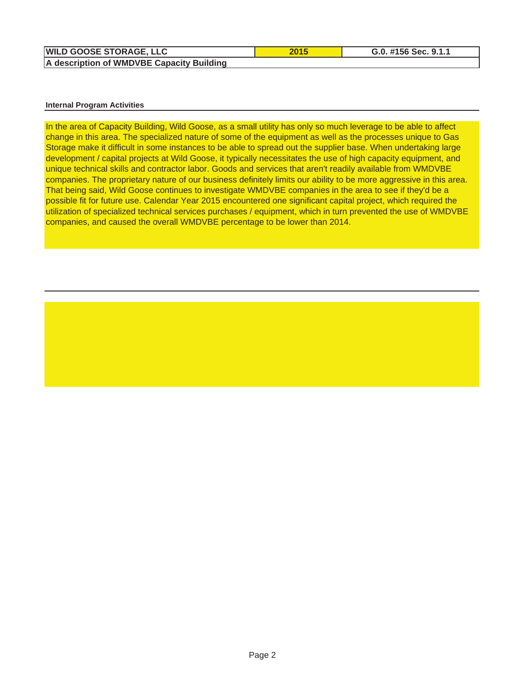| <b>WILD GOOSE STORAGE, LLC</b>            |
|-------------------------------------------|
| A description of WMDVBE Capacity Building |

#### **Internal Program Activities**

In the area of Capacity Building, Wild Goose, as a small utility has only so much leverage to be able to affect change in this area. The specialized nature of some of the equipment as well as the processes unique to Gas Storage make it difficult in some instances to be able to spread out the supplier base. When undertaking large development / capital projects at Wild Goose, it typically necessitates the use of high capacity equipment, and unique technical skills and contractor labor. Goods and services that aren't readily available from WMDVBE companies. The proprietary nature of our business definitely limits our ability to be more aggressive in this area. That being said, Wild Goose continues to investigate WMDVBE companies in the area to see if they'd be a possible fit for future use. Calendar Year 2015 encountered one significant capital project, which required the utilization of specialized technical services purchases / equipment, which in turn prevented the use of WMDVBE companies, and caused the overall WMDVBE percentage to be lower than 2014.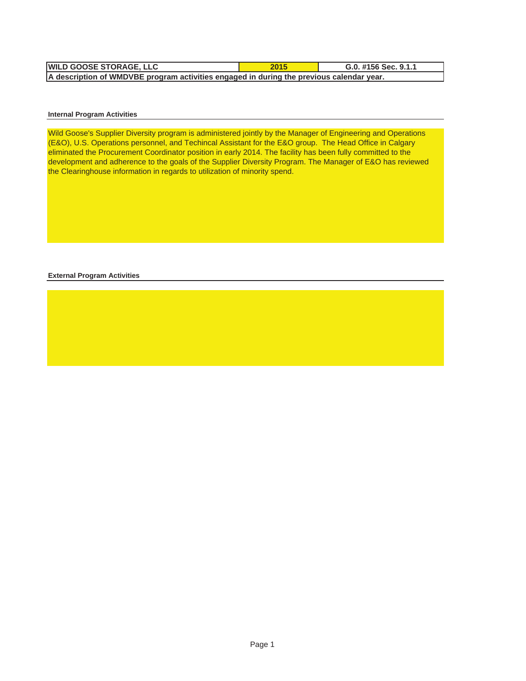| <b>WILD GOOSE STORAGE. LLC</b>                                                           | 2015 | G.0. #156 Sec. 9.1.1 |  |  |  |
|------------------------------------------------------------------------------------------|------|----------------------|--|--|--|
| A description of WMDVBE program activities engaged in during the previous calendar year. |      |                      |  |  |  |

#### **Internal Program Activities**

Wild Goose's Supplier Diversity program is administered jointly by the Manager of Engineering and Operations (E&O), U.S. Operations personnel, and Techincal Assistant for the E&O group. The Head Office in Calgary eliminated the Procurement Coordinator position in early 2014. The facility has been fully committed to the development and adherence to the goals of the Supplier Diversity Program. The Manager of E&O has reviewed the Clearinghouse information in regards to utilization of minority spend.

**External Program Activities**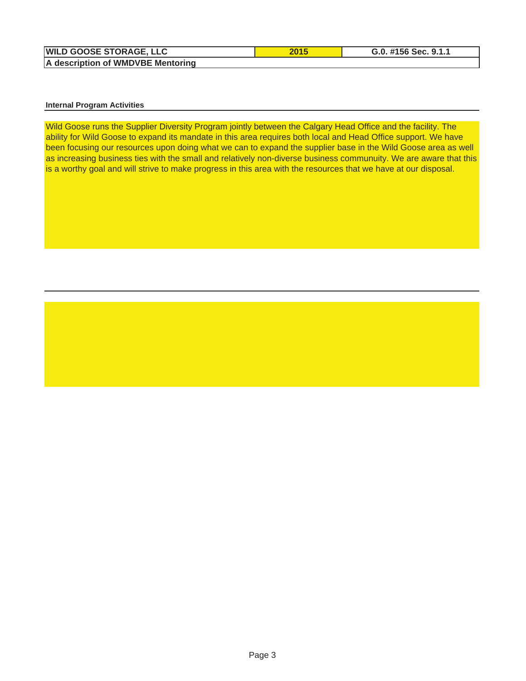| <b>WILD GOOSE STORAGE, LLC</b>    |
|-----------------------------------|
| A description of WMDVBE Mentoring |

#### **Internal Program Activities**

Wild Goose runs the Supplier Diversity Program jointly between the Calgary Head Office and the facility. The ability for Wild Goose to expand its mandate in this area requires both local and Head Office support. We have been focusing our resources upon doing what we can to expand the supplier base in the Wild Goose area as well as increasing business ties with the small and relatively non-diverse business communuity. We are aware that this is a worthy goal and will strive to make progress in this area with the resources that we have at our disposal.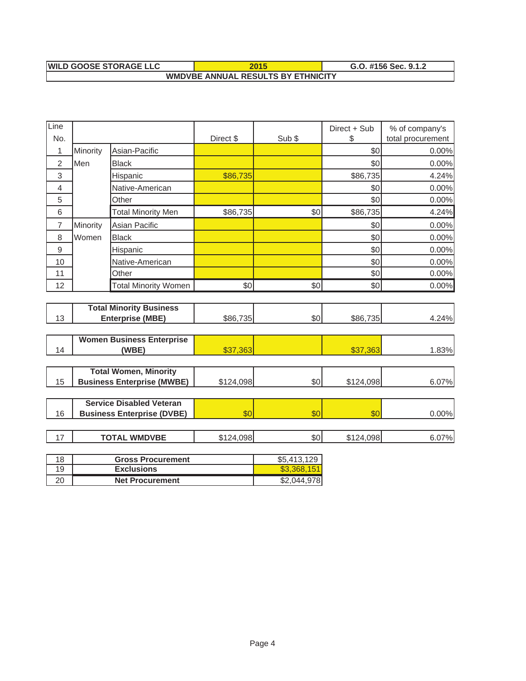#### **WMDVBE ANNUAL RESULTS BY ETHNICITY WILD GOOSE STORAGE LLC 2015 G.O. #156 Sec. 9.1.2**

| Line                           |          |                                   |           |             | Direct + Sub | % of company's    |
|--------------------------------|----------|-----------------------------------|-----------|-------------|--------------|-------------------|
| No.                            |          |                                   | Direct \$ | Sub \$      | \$           | total procurement |
| 1                              | Minority | Asian-Pacific                     |           |             | \$0          | 0.00%             |
| $\overline{2}$                 | Men      | <b>Black</b>                      |           |             | \$0          | 0.00%             |
| 3                              |          | Hispanic                          | \$86,735  |             | \$86,735     | 4.24%             |
| 4                              |          | Native-American                   |           |             | \$0          | 0.00%             |
| 5                              |          | Other                             |           |             | \$0          | 0.00%             |
| 6                              |          | <b>Total Minority Men</b>         | \$86,735  | \$0         | \$86,735     | 4.24%             |
| $\overline{7}$                 | Minority | Asian Pacific                     |           |             | \$0          | 0.00%             |
| 8                              | Women    | <b>Black</b>                      |           |             | \$0          | 0.00%             |
| $\mathsf g$                    |          | Hispanic                          |           |             | \$0          | 0.00%             |
| 10                             |          | Native-American                   |           |             | \$0          | 0.00%             |
| 11                             |          | Other                             |           |             | \$0          | 0.00%             |
| 12                             |          | <b>Total Minority Women</b>       | \$0       | \$0         | \$0          | 0.00%             |
|                                |          |                                   |           |             |              |                   |
| <b>Total Minority Business</b> |          |                                   |           |             |              |                   |
| 13<br><b>Enterprise (MBE)</b>  |          | \$86,735                          | \$0       | \$86,735    | 4.24%        |                   |
|                                |          | <b>Women Business Enterprise</b>  |           |             |              |                   |
| 14                             |          | (WBE)                             | \$37,363  |             | \$37,363     | 1.83%             |
|                                |          |                                   |           |             |              |                   |
|                                |          | <b>Total Women, Minority</b>      |           |             |              |                   |
| 15                             |          | <b>Business Enterprise (MWBE)</b> | \$124,098 | \$0         | \$124,098    | 6.07%             |
|                                |          |                                   |           |             |              |                   |
|                                |          | <b>Service Disabled Veteran</b>   |           |             |              |                   |
| 16                             |          | <b>Business Enterprise (DVBE)</b> | \$0       | \$0         | \$0          | 0.00%             |
|                                |          |                                   |           |             |              |                   |
| 17                             |          | <b>TOTAL WMDVBE</b>               | \$124,098 | \$0         | \$124,098    | 6.07%             |
| 18                             |          | <b>Gross Procurement</b>          |           | \$5,413,129 |              |                   |
| 19                             |          | <b>Exclusions</b>                 |           | \$3,368,151 |              |                   |
| 20                             |          | <b>Net Procurement</b>            |           | \$2,044,978 |              |                   |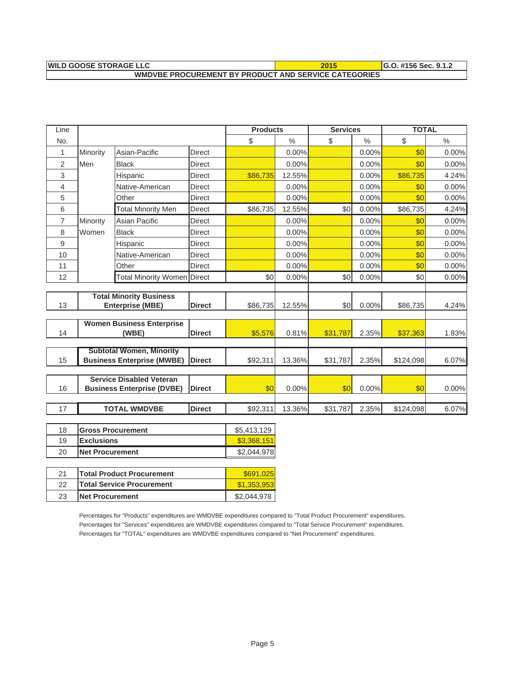| <b>IWILD GOOSE STORAGE LLC</b>                              | $\blacksquare$ G.O. #156 Sec. 9.1.2 |
|-------------------------------------------------------------|-------------------------------------|
| <b>WMDVBE PROCUREMENT BY PRODUCT AND SERVICE CATEGORIES</b> |                                     |

| Line           |                   |                                                                      |               | <b>Products</b> |          | <b>Services</b> |               | <b>TOTAL</b> |       |
|----------------|-------------------|----------------------------------------------------------------------|---------------|-----------------|----------|-----------------|---------------|--------------|-------|
| No.            |                   |                                                                      |               | \$              | $\%$     | \$              | $\frac{0}{0}$ | \$           | $\%$  |
| 1              | Minority          | Asian-Pacific                                                        | Direct        |                 | 0.00%    |                 | 0.00%         | \$0          | 0.00% |
| 2              | Men               | <b>Black</b>                                                         | Direct        |                 | $0.00\%$ |                 | 0.00%         | \$0          | 0.00% |
| 3              |                   | Hispanic                                                             | Direct        | \$86,735        | 12.55%   |                 | 0.00%         | \$86,735     | 4.24% |
| 4              |                   | Native-American                                                      | <b>Direct</b> |                 | 0.00%    |                 | 0.00%         | \$0          | 0.00% |
| 5              |                   | Other                                                                | <b>Direct</b> |                 | 0.00%    |                 | 0.00%         | \$0          | 0.00% |
| 6              |                   | <b>Total Minority Men</b>                                            | <b>Direct</b> | \$86,735        | 12.55%   | \$0             | 0.00%         | \$86,735     | 4.24% |
| $\overline{7}$ | Minority          | Asian Pacific                                                        | <b>Direct</b> |                 | 0.00%    |                 | 0.00%         | \$0          | 0.00% |
| 8              | Women             | <b>Black</b>                                                         | <b>Direct</b> |                 | 0.00%    |                 | 0.00%         | \$0          | 0.00% |
| 9              |                   | Hispanic                                                             | <b>Direct</b> |                 | 0.00%    |                 | 0.00%         | \$0          | 0.00% |
| 10             |                   | Native-American                                                      | <b>Direct</b> |                 | 0.00%    |                 | 0.00%         | \$0          | 0.00% |
| 11             |                   | Other                                                                | <b>Direct</b> |                 | 0.00%    |                 | 0.00%         | \$0          | 0.00% |
| 12             |                   | <b>Total Minority Women Direct</b>                                   |               | \$0             | 0.00%    | \$0             | 0.00%         | \$0          | 0.00% |
|                |                   |                                                                      |               |                 |          |                 |               |              |       |
|                |                   | <b>Total Minority Business</b>                                       |               |                 |          |                 |               |              |       |
| 13             |                   | <b>Enterprise (MBE)</b>                                              | <b>Direct</b> | \$86,735        | 12.55%   | \$0             | 0.00%         | \$86,735     | 4.24% |
|                |                   | <b>Women Business Enterprise</b>                                     |               |                 |          |                 |               |              |       |
| 14             |                   | (WBE)                                                                | <b>Direct</b> | \$5,576         | 0.81%    | \$31,787        | 2.35%         | \$37,363     | 1.83% |
|                |                   |                                                                      |               |                 |          |                 |               |              |       |
| 15             |                   | <b>Subtotal Women, Minority</b><br><b>Business Enterprise (MWBE)</b> | <b>Direct</b> | \$92,311        | 13.36%   | \$31,787        | 2.35%         | \$124,098    | 6.07% |
|                |                   |                                                                      |               |                 |          |                 |               |              |       |
|                |                   | <b>Service Disabled Veteran</b>                                      |               |                 |          |                 |               |              |       |
| 16             |                   | <b>Business Enterprise (DVBE)</b>                                    | <b>Direct</b> | \$0             | 0.00%    | \$0             | 0.00%         | \$0          | 0.00% |
|                |                   |                                                                      |               |                 |          |                 |               |              |       |
| 17             |                   | <b>TOTAL WMDVBE</b>                                                  | <b>Direct</b> | \$92,311        | 13.36%   | \$31,787        | 2.35%         | \$124,098    | 6.07% |
|                |                   |                                                                      |               |                 |          |                 |               |              |       |
| $\overline{A}$ | ᡰឹ<br>$-$ Dec $-$ |                                                                      |               | $AT = 110.100$  |          |                 |               |              |       |

| 18 | <b>Gross Procurement</b> | \$5,413,129 |
|----|--------------------------|-------------|
| 19 | <b>Exclusions</b>        | \$3,368,151 |
| 20 | <b>INet Procurement</b>  | \$2,044,978 |
|    |                          |             |

| 21 | <b>Total Product Procurement</b> | \$691.025   |
|----|----------------------------------|-------------|
| 22 | <b>Total Service Procurement</b> | \$1,353,953 |
| 23 | <b>Net Procurement</b>           | \$2,044,978 |

Percentages for "Products" expenditures are WMDVBE expenditures compared to "Total Product Procurement" expenditures. Percentages for "Services" expenditures are WMDVBE expenditures compared to "Total Service Procurement" expenditures. Percentages for "TOTAL" expenditures are WMDVBE expenditures compared to "Net Procurement" expenditures.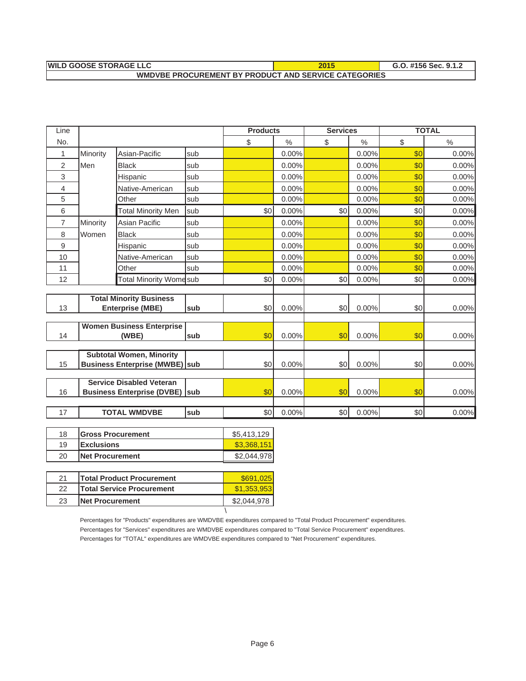| <b>WILD GOOSE STORAGE LLC</b>                               | 2015 | G.O. #156 Sec. 9.1.2 |
|-------------------------------------------------------------|------|----------------------|
| <b>WMDVBE PROCUREMENT BY PRODUCT AND SERVICE CATEGORIES</b> |      |                      |

| Line                     |          |                                        |            | <b>Products</b> |          | <b>Services</b> |          |     | <b>TOTAL</b>  |
|--------------------------|----------|----------------------------------------|------------|-----------------|----------|-----------------|----------|-----|---------------|
| No.                      |          |                                        |            | \$              | $\%$     | \$              | $\%$     | \$  | $\frac{0}{0}$ |
| 1                        | Minority | Asian-Pacific                          | sub        |                 | 0.00%    |                 | 0.00%    | \$0 | 0.00%         |
| 2                        | Men      | <b>Black</b>                           | sub        |                 | $0.00\%$ |                 | $0.00\%$ | \$0 | 0.00%         |
| 3                        |          | Hispanic                               | sub        |                 | 0.00%    |                 | 0.00%    | \$0 | 0.00%         |
| $\overline{\mathcal{L}}$ |          | Native-American                        | lsub       |                 | 0.00%    |                 | 0.00%    | \$0 | 0.00%         |
| 5                        |          | Other                                  | sub        |                 | 0.00%    |                 | 0.00%    | \$0 | 0.00%         |
| 6                        |          | <b>Total Minority Men</b>              | sub        | \$0             | 0.00%    | \$0             | 0.00%    | \$0 | 0.00%         |
| 7                        | Minority | Asian Pacific                          | sub        |                 | $0.00\%$ |                 | 0.00%    | \$0 | 0.00%         |
| 8                        | Women    | <b>Black</b>                           | sub        |                 | 0.00%    |                 | 0.00%    | \$0 | 0.00%         |
| 9                        |          | Hispanic                               | lsub       |                 | 0.00%    |                 | 0.00%    | \$0 | 0.00%         |
| 10                       |          | Native-American                        | sub        |                 | 0.00%    |                 | 0.00%    | \$0 | 0.00%         |
| 11                       |          | Other                                  | sub        |                 | 0.00%    |                 | 0.00%    | \$0 | 0.00%         |
| 12                       |          | <b>Total Minority Womesub</b>          |            | \$0             | 0.00%    | \$0             | 0.00%    | \$0 | 0.00%         |
|                          |          |                                        |            |                 |          |                 |          |     |               |
|                          |          | <b>Total Minority Business</b>         |            |                 |          |                 |          |     |               |
| 13                       |          | <b>Enterprise (MBE)</b>                | sub        | \$0             | $0.00\%$ | \$0             | 0.00%    | \$0 | 0.00%         |
|                          |          | <b>Women Business Enterprise</b>       |            |                 |          |                 |          |     |               |
| 14                       |          | (WBE)                                  | <b>sub</b> | \$0             | $0.00\%$ | \$0             | 0.00%    | \$0 | 0.00%         |
|                          |          |                                        |            |                 |          |                 |          |     |               |
|                          |          | <b>Subtotal Women, Minority</b>        |            |                 |          |                 |          |     |               |
| 15                       |          | <b>Business Enterprise (MWBE)</b> sub  |            | \$0             | $0.00\%$ | \$0             | 0.00%    | \$0 | 0.00%         |
|                          |          | <b>Service Disabled Veteran</b>        |            |                 |          |                 |          |     |               |
| 16                       |          | <b>Business Enterprise (DVBE)  sub</b> |            | \$0             | $0.00\%$ | \$0             | 0.00%    | \$0 | 0.00%         |
|                          |          |                                        |            |                 |          |                 |          |     |               |
| 17                       |          | <b>TOTAL WMDVBE</b>                    | sub        | \$0             | 0.00%    | \$0             | 0.00%    | \$0 | 0.00%         |
|                          |          |                                        |            |                 |          |                 |          |     |               |

| 18 | <b>IGross Procurement</b> | \$5.413.129 |
|----|---------------------------|-------------|
| 19 | <b>Exclusions</b>         | \$3.368.151 |
| 20 | <b>INet Procurement</b>   | \$2,044,978 |
|    |                           |             |

| 21 | <b>Total Product Procurement</b> | \$691,025   |
|----|----------------------------------|-------------|
| 22 | <b>Total Service Procurement</b> | \$1.353.953 |
| 23 | <b>Net Procurement</b>           | 2.044.978   |
|    |                                  |             |

Percentages for "Products" expenditures are WMDVBE expenditures compared to "Total Product Procurement" expenditures. Percentages for "Services" expenditures are WMDVBE expenditures compared to "Total Service Procurement" expenditures. Percentages for "TOTAL" expenditures are WMDVBE expenditures compared to "Net Procurement" expenditures.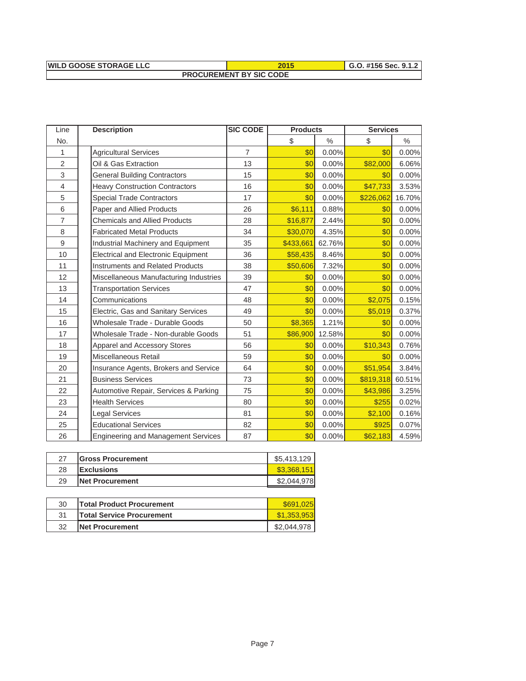| <b>WILD GOOSE STORAGE LLC</b>  | 2015 | G.O. #156 Sec. 9.1.2 |  |  |  |
|--------------------------------|------|----------------------|--|--|--|
| <b>PROCUREMENT BY SIC CODE</b> |      |                      |  |  |  |

| Line           | <b>Description</b>                         | <b>SIC CODE</b> | <b>Products</b> |        | <b>Services</b> |        |  |
|----------------|--------------------------------------------|-----------------|-----------------|--------|-----------------|--------|--|
| No.            |                                            |                 | \$              | $\%$   | \$              | $\%$   |  |
| 1              | <b>Agricultural Services</b>               | $\overline{7}$  | \$0             | 0.00%  | \$0             | 0.00%  |  |
| $\overline{2}$ | Oil & Gas Extraction                       | 13              | \$0             | 0.00%  | \$82,000        | 6.06%  |  |
| $\sqrt{3}$     | <b>General Building Contractors</b>        | 15              | \$0             | 0.00%  | \$0             | 0.00%  |  |
| 4              | <b>Heavy Construction Contractors</b>      | 16              | \$0             | 0.00%  | \$47,733        | 3.53%  |  |
| 5              | <b>Special Trade Contractors</b>           | 17              | \$0             | 0.00%  | \$226,062       | 16.70% |  |
| 6              | Paper and Allied Products                  | 26              | \$6,111         | 0.88%  | \$0             | 0.00%  |  |
| $\overline{7}$ | <b>Chemicals and Allied Products</b>       | 28              | \$16,877        | 2.44%  | \$0             | 0.00%  |  |
| 8              | <b>Fabricated Metal Products</b>           | 34              | \$30,070        | 4.35%  | \$0             | 0.00%  |  |
| 9              | Industrial Machinery and Equipment         | 35              | \$433,661       | 62.76% | \$0             | 0.00%  |  |
| 10             | <b>Electrical and Electronic Equipment</b> | 36              | \$58,435        | 8.46%  | \$0             | 0.00%  |  |
| 11             | <b>Instruments and Related Products</b>    | 38              | \$50,606        | 7.32%  | \$0             | 0.00%  |  |
| 12             | Miscellaneous Manufacturing Industries     | 39              | \$0             | 0.00%  | \$0             | 0.00%  |  |
| 13             | <b>Transportation Services</b>             | 47              | \$0             | 0.00%  | \$0             | 0.00%  |  |
| 14             | Communications                             | 48              | \$0             | 0.00%  | \$2,075         | 0.15%  |  |
| 15             | Electric, Gas and Sanitary Services        | 49              | \$0             | 0.00%  | \$5,019         | 0.37%  |  |
| 16             | Wholesale Trade - Durable Goods            | 50              | \$8,365         | 1.21%  | \$0             | 0.00%  |  |
| 17             | Wholesale Trade - Non-durable Goods        | 51              | \$86,900        | 12.58% | \$0             | 0.00%  |  |
| 18             | Apparel and Accessory Stores               | 56              | \$0             | 0.00%  | \$10,343        | 0.76%  |  |
| 19             | Miscellaneous Retail                       | 59              | \$0             | 0.00%  | \$0             | 0.00%  |  |
| 20             | Insurance Agents, Brokers and Service      | 64              | \$0             | 0.00%  | \$51,954        | 3.84%  |  |
| 21             | <b>Business Services</b>                   | 73              | \$0             | 0.00%  | \$819,318       | 60.51% |  |
| 22             | Automotive Repair, Services & Parking      | 75              | \$0             | 0.00%  | \$43,986        | 3.25%  |  |
| 23             | <b>Health Services</b>                     | 80              | \$0             | 0.00%  | \$255           | 0.02%  |  |
| 24             | <b>Legal Services</b>                      | 81              | \$0             | 0.00%  | \$2,100         | 0.16%  |  |
| 25             | <b>Educational Services</b>                | 82              | \$0             | 0.00%  | \$925           | 0.07%  |  |
| 26             | <b>Engineering and Management Services</b> | 87              | \$0             | 0.00%  | \$62,183        | 4.59%  |  |

| 27 | <b>IGross Procurement</b> | \$5,413,129 |
|----|---------------------------|-------------|
| 28 | <b>Exclusions</b>         | \$3.368.151 |
| 29 | <b>INet Procurement</b>   | \$2,044,978 |

| 30 | <b>Total Product Procurement</b> | \$691,025   |
|----|----------------------------------|-------------|
| 31 | <b>Total Service Procurement</b> | \$1,353,953 |
| 32 | <b>INet Procurement</b>          | \$2,044.978 |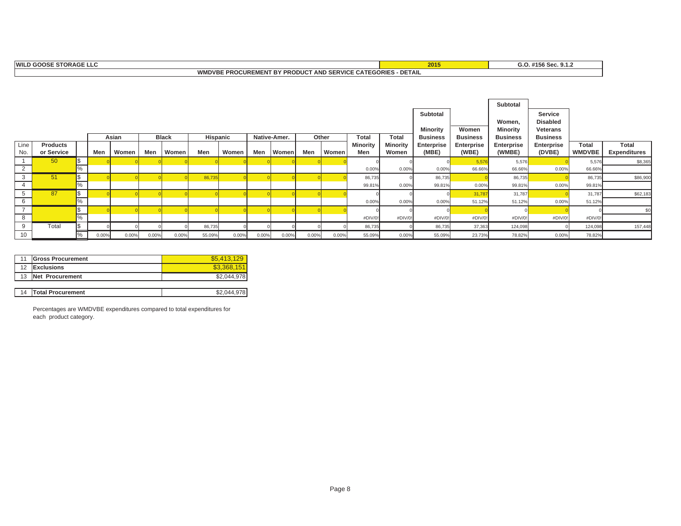#### **WMDVBE PROCUREMENT BY PRODUCT AND SERVICE CATEGORIES - DETAIL 2015**

**G.O. #156 Sec. 9.1.2**

|      |                 |            |       |       |       |              |          |       |       |              |       |       |                 |                 |                   |                 | Subtotal        |                 |               |                     |
|------|-----------------|------------|-------|-------|-------|--------------|----------|-------|-------|--------------|-------|-------|-----------------|-----------------|-------------------|-----------------|-----------------|-----------------|---------------|---------------------|
|      |                 |            |       |       |       |              |          |       |       |              |       |       |                 |                 | Subtotal          |                 |                 | Service         |               |                     |
|      |                 |            |       |       |       |              |          |       |       |              |       |       |                 |                 |                   |                 | Women,          | <b>Disabled</b> |               |                     |
|      |                 |            |       |       |       |              |          |       |       |              |       |       |                 |                 | Minority          | Women           | <b>Minority</b> | Veterans        |               |                     |
|      |                 |            |       | Asian |       | <b>Black</b> | Hispanic |       |       | Native-Amer. |       | Other | <b>Total</b>    | <b>Total</b>    | <b>Business</b>   | <b>Business</b> | <b>Business</b> | <b>Business</b> |               |                     |
| Line | <b>Products</b> |            |       |       |       |              |          |       |       |              |       |       | <b>Minority</b> | <b>Minority</b> | <b>Enterprise</b> | Enterprise      | Enterprise      | Enterprise      | Total         | Total               |
| No.  | or Service      |            | Men   | Women | Men   | Women        | Men      | Women | Men   | Women        | Men   | Women | Men             | Women           | (MBE)             | (WBE)           | (WMBE)          | (DVBE)          | <b>WMDVBE</b> | <b>Expenditures</b> |
|      | 50              | <b>S</b>   |       |       |       |              |          |       |       |              |       |       |                 |                 |                   | 5,57            | 5,576           |                 | 5,576         | \$8,365             |
| 2    |                 |            |       |       |       |              |          |       |       |              |       |       | 0.00%           | 0.00%           | 0.00%             | 66.66%          | 66.66%          | 0.00%           | 66.66%        |                     |
| 3    | 51              | $\sqrt{3}$ |       |       |       |              | 86,735   |       |       |              |       |       | 86,735          |                 | 86,735            |                 | 86,735          |                 | 86,735        | \$86,900            |
| 4    |                 | %          |       |       |       |              |          |       |       |              |       |       | 99.81%          | 0.00%           | 99.81%            | 0.00%           | 99.81%          | 0.00%           | 99.81%        |                     |
|      | 87              | $\sqrt{S}$ |       |       |       |              |          |       |       |              |       |       |                 |                 |                   | 31,78           | 31,787          |                 | 31,787        | \$62,183            |
| 6    |                 | %          |       |       |       |              |          |       |       |              |       |       | 0.00%           | 0.00%           | 0.00%             | 51.12%          | 51.12%          | 0.00%           | 51.12%        |                     |
|      |                 | l\$        |       |       |       |              |          |       |       |              |       |       |                 |                 |                   |                 |                 |                 |               | \$0                 |
| 8    |                 | $\%$       |       |       |       |              |          |       |       |              |       |       | #DIV/0!         | #DIV/0!         | #DIV/0            | #DIV/0!         | #DIV/0!         | #DIV/0!         | #DIV/0        |                     |
| 9    | Total           | Ī\$        |       |       |       |              | 86,735   |       |       |              |       |       | 86,735          |                 | 86,735            | 37,363          | 124,098         |                 | 124,098       | 157,448             |
| 10   |                 |            | 0.00% | 0.00% | 0.00% | 0.00%        | 55.09%   | 0.00% | 0.00% | 0.00%        | 0.00% | 0.00% | 55.09%          | 0.00%           | 55.09%            | 23.73%          | 78.82%          | 0.00%           | 78.82%        |                     |

|    | <b>Gross Procurement</b> | \$5.413.129 |
|----|--------------------------|-------------|
| 12 | <b>Exclusions</b>        | \$3.368.151 |
| 13 | Net Procurement          | \$2,044,978 |
|    |                          |             |
| 14 | <b>Total Procurement</b> | \$2,044,978 |

Percentages are WMDVBE expenditures compared to total expenditures for each product category.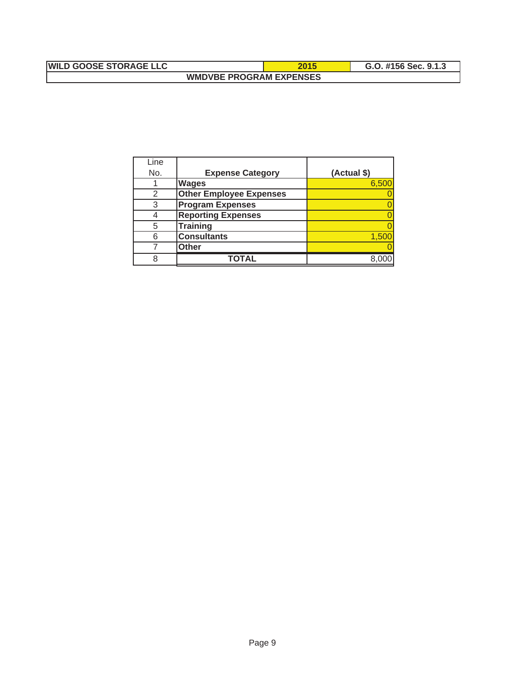## **WILD GOOSE STORAGE LLC** 2015 **C.O. #156 Sec. 9.1.3 WMDVBE PROGRAM EXPENSES**

| Line |                                |             |
|------|--------------------------------|-------------|
| No.  | <b>Expense Category</b>        | (Actual \$) |
|      | <b>Wages</b>                   | 6,500       |
| 2    | <b>Other Employee Expenses</b> |             |
| 3    | <b>Program Expenses</b>        |             |
|      | <b>Reporting Expenses</b>      |             |
| 5    | <b>Training</b>                |             |
| 6    | <b>Consultants</b>             | 1.500       |
|      | <b>Other</b>                   |             |
| 8    |                                |             |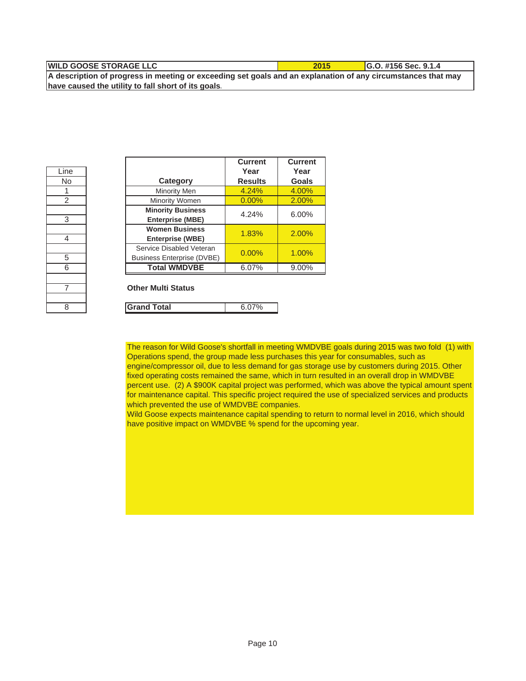| <b>IWILD GOOSE STORAGE LLC</b>                                                                               | 2015 | $IG.0.$ #156 Sec. 9.1.4 |
|--------------------------------------------------------------------------------------------------------------|------|-------------------------|
| A description of progress in meeting or exceeding set goals and an explanation of any circumstances that may |      |                         |

**have caused the utility to fall short of its goals.**

| Line           |
|----------------|
| No             |
| 1              |
| $\overline{2}$ |
|                |
| 3              |
|                |
| 4              |
|                |
| $rac{5}{6}$    |
|                |
|                |
|                |
|                |
| 8              |

| Line |                                                               | <b>Current</b><br>Year | <b>Current</b><br>Year |
|------|---------------------------------------------------------------|------------------------|------------------------|
| No.  | Category                                                      | <b>Results</b>         | Goals                  |
| 1    | Minority Men                                                  | 4.24%                  | 4.00%                  |
| 2    | Minority Women                                                | 0.00%                  | 2.00%                  |
| 3    | <b>Minority Business</b><br><b>Enterprise (MBE)</b>           | 4.24%                  | 6.00%                  |
| 4    | <b>Women Business</b><br><b>Enterprise (WBE)</b>              | 1.83%                  | 2.00%                  |
| 5    | Service Disabled Veteran<br><b>Business Enterprise (DVBE)</b> | 0.00%                  | 1.00%                  |
| 6    | <b>Total WMDVBE</b>                                           | 6.07%                  | 9.00%                  |

#### **Other Multi Status**

| 8 | and Total |  |
|---|-----------|--|
|   |           |  |

The reason for Wild Goose's shortfall in meeting WMDVBE goals during 2015 was two fold (1) with Operations spend, the group made less purchases this year for consumables, such as engine/compressor oil, due to less demand for gas storage use by customers during 2015. Other fixed operating costs remained the same, which in turn resulted in an overall drop in WMDVBE percent use. (2) A \$900K capital project was performed, which was above the typical amount spent for maintenance capital. This specific project required the use of specialized services and products which prevented the use of WMDVBE companies.

Wild Goose expects maintenance capital spending to return to normal level in 2016, which should have positive impact on WMDVBE % spend for the upcoming year.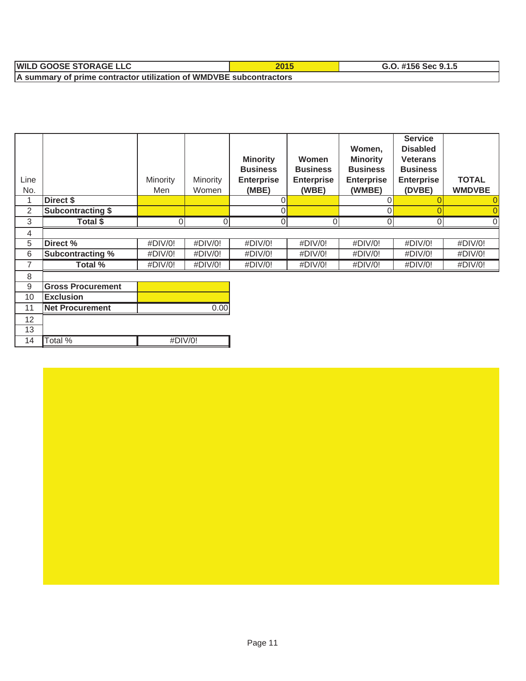| <b>WIL</b><br><b>J GOOSE STORAGE LLC</b>                           | ZUIJ | 9.1.5<br>. #156 Sec# |  |  |  |  |
|--------------------------------------------------------------------|------|----------------------|--|--|--|--|
| A summary of prime contractor utilization of WMDVBE subcontractors |      |                      |  |  |  |  |

| Line<br>No.    |                          | Minority<br>Men | Minority<br>Women | <b>Minority</b><br><b>Business</b><br><b>Enterprise</b><br>(MBE) | <b>Women</b><br><b>Business</b><br><b>Enterprise</b><br>(WBE) | Women,<br><b>Minority</b><br><b>Business</b><br><b>Enterprise</b><br>(WMBE) | <b>Service</b><br><b>Disabled</b><br><b>Veterans</b><br><b>Business</b><br><b>Enterprise</b><br>(DVBE) | <b>TOTAL</b><br><b>WMDVBE</b> |
|----------------|--------------------------|-----------------|-------------------|------------------------------------------------------------------|---------------------------------------------------------------|-----------------------------------------------------------------------------|--------------------------------------------------------------------------------------------------------|-------------------------------|
|                | Direct \$                |                 |                   |                                                                  |                                                               |                                                                             |                                                                                                        |                               |
| $\overline{2}$ | <b>Subcontracting \$</b> |                 |                   |                                                                  |                                                               |                                                                             |                                                                                                        |                               |
| 3              | Total \$                 | ∩               | $\Omega$          | $\Omega$                                                         | ΩI                                                            | O                                                                           | $\Omega$                                                                                               |                               |
| 4              |                          |                 |                   |                                                                  |                                                               |                                                                             |                                                                                                        |                               |
| 5              | Direct %                 | #DIV/0!         | #DIV/0!           | #DIV/0!                                                          | #DIV/0!                                                       | #DIV/0!                                                                     | #DIV/0!                                                                                                | #DIV/0!                       |
| 6              | <b>Subcontracting %</b>  | #DIV/0!         | #DIV/0!           | #DIV/0!                                                          | #DIV/0!                                                       | $\#$ DIV/0!                                                                 | $\#$ DIV/0!                                                                                            | #DIV/0!                       |
| 7              | Total %                  | #DIV/0!         | #DIV/0!           | #DIV/0!                                                          | #DIV/0!                                                       | #DIV/0!                                                                     | #DIV/0!                                                                                                | #DIV/0!                       |
| 8              |                          |                 |                   |                                                                  |                                                               |                                                                             |                                                                                                        |                               |
| 9              | <b>Gross Procurement</b> |                 |                   |                                                                  |                                                               |                                                                             |                                                                                                        |                               |
| 10             | <b>Exclusion</b>         |                 |                   |                                                                  |                                                               |                                                                             |                                                                                                        |                               |
| 11             | <b>Net Procurement</b>   |                 | 0.00              |                                                                  |                                                               |                                                                             |                                                                                                        |                               |

#DIV/0!

12 13

14 Total %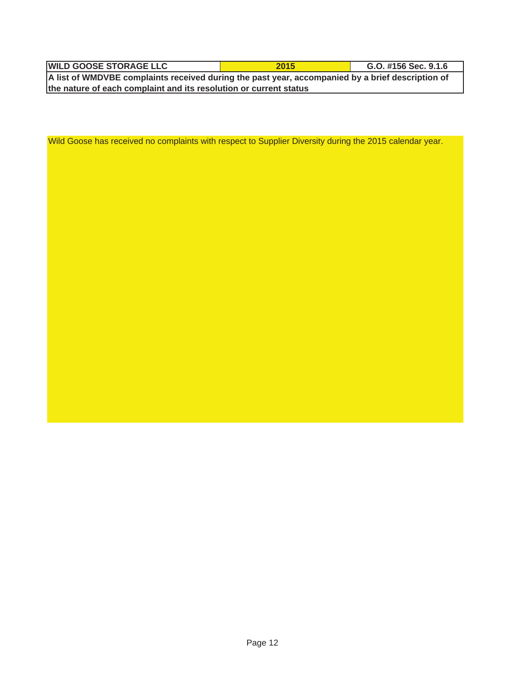| <b>WILD GOOSE STORAGE LLC</b>                                                                    | 2015 | G.O. #156 Sec. 9.1.6 |  |  |  |  |  |
|--------------------------------------------------------------------------------------------------|------|----------------------|--|--|--|--|--|
| A list of WMDVBE complaints received during the past year, accompanied by a brief description of |      |                      |  |  |  |  |  |
| the nature of each complaint and its resolution or current status                                |      |                      |  |  |  |  |  |

Wild Goose has received no complaints with respect to Supplier Diversity during the 2015 calendar year.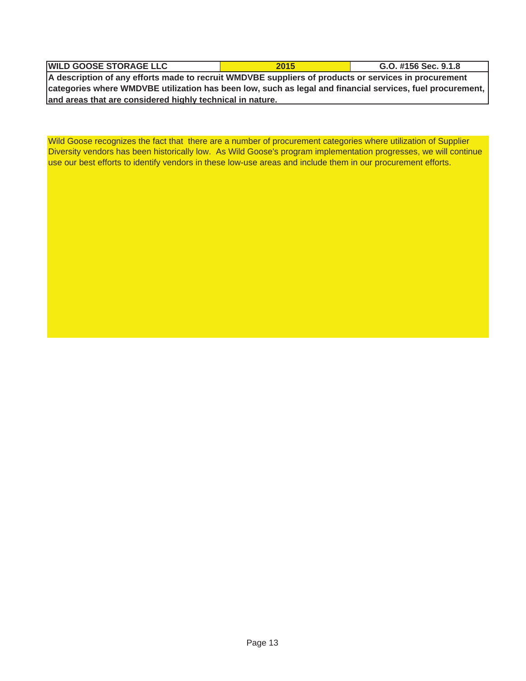| <b>WILD GOOSE STORAGE LLC</b>                                                                                           | 2015 | G.O. #156 Sec. 9.1.8 |  |  |  |  |  |  |
|-------------------------------------------------------------------------------------------------------------------------|------|----------------------|--|--|--|--|--|--|
| A description of any efforts made to recruit WMDVBE suppliers of products or services in procurement                    |      |                      |  |  |  |  |  |  |
| $\mid$ categories where WMDVBE utilization has been low, such as legal and financial services, fuel procurement, $\mid$ |      |                      |  |  |  |  |  |  |

**and areas that are considered highly technical in nature.**

Wild Goose recognizes the fact that there are a number of procurement categories where utilization of Supplier Diversity vendors has been historically low. As Wild Goose's program implementation progresses, we will continue use our best efforts to identify vendors in these low-use areas and include them in our procurement efforts.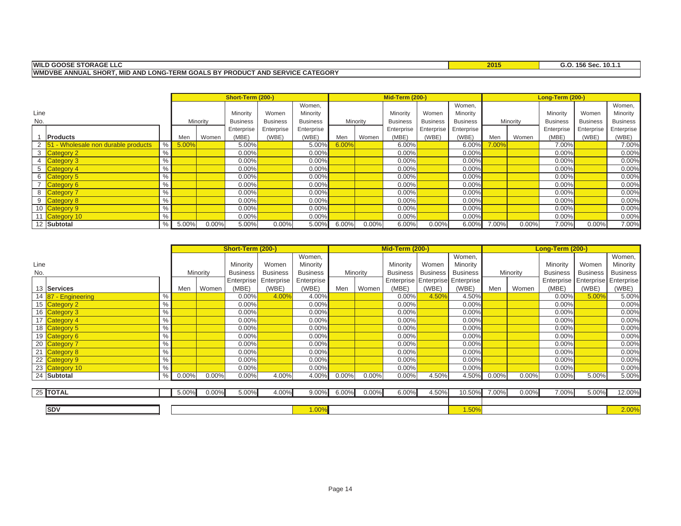#### **WILD GOOSE STORAGE LLC**

**2015 G.O. 156 Sec. 10.1.1**

**WMDVBE ANNUAL SHORT, MID AND LONG-TERM GOALS BY PRODUCT AND SERVICE CATEGORY**

|      |                                       |      |       |          | Short-Term (200-) |                 |                 | <b>Mid-Term (200-)</b> |          |                 |                 |                 | Long-Term (200-) |          |                 |                 |                 |
|------|---------------------------------------|------|-------|----------|-------------------|-----------------|-----------------|------------------------|----------|-----------------|-----------------|-----------------|------------------|----------|-----------------|-----------------|-----------------|
|      |                                       |      |       |          |                   |                 | Women.          |                        |          |                 |                 | Women.          |                  |          |                 |                 | Women,          |
| Line |                                       |      |       |          | Minority          | Women           | Minority        |                        |          | Minority        | Women           | Minority        |                  |          | Minority        | Women           | Minority        |
| No.  |                                       |      |       | Minority | <b>Business</b>   | <b>Business</b> | <b>Business</b> |                        | Minority | <b>Business</b> | <b>Business</b> | <b>Business</b> |                  | Minority | <b>Business</b> | <b>Business</b> | <b>Business</b> |
|      |                                       |      |       |          | Enterprise        | Enterprise      | Enterprise      |                        |          | Enterprise      | Enterprise      | Enterprise      |                  |          | Enterprise      | Enterprise      | Enterprise      |
|      | <b>Products</b>                       |      | Men   | Women    | (MBE)             | (WBE)           | (WBE)           | Men                    | Women    | (MBE)           | (WBE)           | (WBE)           | Men              | Women    | (MBE)           | (WBE)           | (WBE)           |
|      | 2 51 - Wholesale non durable products | $\%$ | 5.00% |          | 5.00%             |                 | $5.00\%$        | 6.00%                  |          | 6.00%           |                 | 6.00%           | 7.00%            |          | 7.00%           |                 | 7.00%           |
|      | 3 Category 2                          | $\%$ |       |          | 0.00%             |                 | 0.00%           |                        |          | 0.00%           |                 | 0.00%           |                  |          | $0.00\%$        |                 | 0.00%           |
|      | 4 Category 3                          | $\%$ |       |          | 0.00%             |                 | 0.00%           |                        |          | 0.00%           |                 | 0.00%           |                  |          | $0.00\%$        |                 | 0.00%           |
|      | 5 Category 4                          | $\%$ |       |          | 0.00%             |                 | 0.00%           |                        |          | 0.00%           |                 | 0.00%           |                  |          | $0.00\%$        |                 | 0.00%           |
|      | 6 Category 5                          | %    |       |          | 0.00%             |                 | 0.00%           |                        |          | 0.00%           |                 | 0.00%           |                  |          | 0.00%           |                 | 0.00%           |
|      | 7 Category 6                          | $\%$ |       |          | 0.00%             |                 | 0.00%           |                        |          | 0.00%           |                 | 0.00%           |                  |          | $0.00\%$        |                 | 0.00%           |
|      | 8 Category 7                          | $\%$ |       |          | 0.00%             |                 | 0.00%           |                        |          | 0.00%           |                 | 0.00%           |                  |          | 0.00%           |                 | 0.00%           |
|      | 9 Category 8                          | $\%$ |       |          | 0.00%             |                 | 0.00%           |                        |          | 0.00%           |                 | 0.00%           |                  |          | 0.00%           |                 | 0.00%           |
|      | 10 Category 9                         | %    |       |          | 0.00%             |                 | 0.00%           |                        |          | 0.00%           |                 | 0.00%           |                  |          | $0.00\%$        |                 | 0.00%           |
| 11   | Category 10                           | $\%$ |       |          | $0.00\%$          |                 | 0.00%           |                        |          | 0.00%           |                 | 0.00%           |                  |          | $0.00\%$        |                 | 0.00%           |
|      | 12 Subtotal                           | %    | 5.00% | 0.00%    | 5.00%             | 0.00%           | 5.00%           | 6.00%                  | $0.00\%$ | 6.00%           | 0.00%           | 6.00%           | 7.00%            | 0.00%    | 7.00%           | 0.00%           | 7.00%           |

|      |                     |               | Short-Term (200-) |          |                 |                 |                 | <b>Mid-Term (200-)</b> |          |                 |                                  |                 | Long-Term (200-) |          |                 |                 |                 |
|------|---------------------|---------------|-------------------|----------|-----------------|-----------------|-----------------|------------------------|----------|-----------------|----------------------------------|-----------------|------------------|----------|-----------------|-----------------|-----------------|
|      |                     |               |                   |          |                 |                 | Women,          |                        |          |                 |                                  | Women,          |                  |          |                 |                 | Women,          |
| Line |                     |               |                   |          | Minority        | Women           | Minority        |                        |          | Minority        | Women                            | Minority        |                  |          | Minority        | Women           | Minority        |
| No.  |                     |               |                   | Minority | <b>Business</b> | <b>Business</b> | <b>Business</b> |                        | Minority | <b>Business</b> | <b>Business</b>                  | <b>Business</b> |                  | Minority | <b>Business</b> | <b>Business</b> | <b>Business</b> |
|      |                     |               |                   |          | Enterprise      | Enterprise      | Enterprise      |                        |          |                 | Enterprise Enterprise Enterprise |                 |                  |          | Enterprise      | Enterprise      | Enterprise!     |
|      | 13 Services         |               | Men               | Women    | (MBE)           | (WBE)           | (WBE)           | Men                    | Women    | (MBE)           | (WBE)                            | (WBE)           | Men              | Women    | (MBE)           | (WBE)           | (WBE)           |
|      | 14 87 - Engineering | %             |                   |          | 0.00%           | 4.00%           | 4.00%           |                        |          | 0.00%           | 4.50%                            | 4.50%           |                  |          | 0.00%           | 5.00%           | 5.00%           |
|      | 15 Category 2       | $\%$          |                   |          | 0.00%           |                 | 0.00%           |                        |          | 0.00%           |                                  | 0.00%           |                  |          | 0.00%           |                 | 0.00%           |
|      | 16 Category 3       | $\%$          |                   |          | $0.00\%$        |                 | 0.00%           |                        |          | 0.00%           |                                  | 0.00%           |                  |          | 0.00%           |                 | 0.00%           |
|      | 17 Category 4       | $\%$          |                   |          | $0.00\%$        |                 | 0.00%           |                        |          | 0.00%           |                                  | 0.00%           |                  |          | 0.00%           |                 | 0.00%           |
|      | 18 Category 5       | $\%$          |                   |          | $0.00\%$        |                 | 0.00%           |                        |          | 0.00%           |                                  | 0.00%           |                  |          | 0.00%           |                 | 0.00%           |
|      | 19 Category 6       | $\frac{9}{6}$ |                   |          | $0.00\%$        |                 | 0.00%           |                        |          | 0.00%           |                                  | 0.00%           |                  |          | 0.00%           |                 | 0.00%           |
|      | 20 Category 7       | $\%$          |                   |          | $0.00\%$        |                 | 0.00%           |                        |          | 0.00%           |                                  | 0.00%           |                  |          | 0.00%           |                 | 0.00%           |
|      | 21 Category 8       | $\%$          |                   |          | $0.00\%$        |                 | 0.00%           |                        |          | 0.00%           |                                  | 0.00%           |                  |          | 0.00%           |                 | 0.00%           |
|      | 22 Category 9       | $\%$          |                   |          | $0.00\%$        |                 | 0.00%           |                        |          | 0.00%           |                                  | 0.00%           |                  |          | 0.00%           |                 | 0.00%           |
|      | 23 Category 10      | %             |                   |          | $0.00\%$        |                 | 0.00%           |                        |          | 0.00%           |                                  | 0.00%           |                  |          | 0.00%           |                 | 0.00%           |
|      | 24 Subtotal         | %             | $0.00\%$          | $0.00\%$ | 0.00%           | 4.00%           | 4.00%           | 0.00%                  | 0.00%    | 0.00%           | 4.50%                            | 4.50%           | $0.00\%$         | 0.00%    | 0.00%           | 5.00%           | 5.00%           |
|      |                     |               |                   |          |                 |                 |                 |                        |          |                 |                                  |                 |                  |          |                 |                 |                 |
|      | 25 TOTAL            |               | 5.00%             | $0.00\%$ | 5.00%           | 4.00%           | $9.00\%$        | $6.00\%$               | 0.00%    | 6.00%           | 4.50%                            | 10.50%          | 7.00%            | 0.00%    | 7.00%           | 5.00%           | 12.00%          |
|      |                     |               |                   |          |                 |                 |                 |                        |          |                 |                                  |                 |                  |          |                 |                 |                 |
|      | <b>SDV</b>          |               |                   |          |                 |                 | 1.00%           |                        |          |                 |                                  | 1.50%           |                  |          |                 |                 | 2.00%           |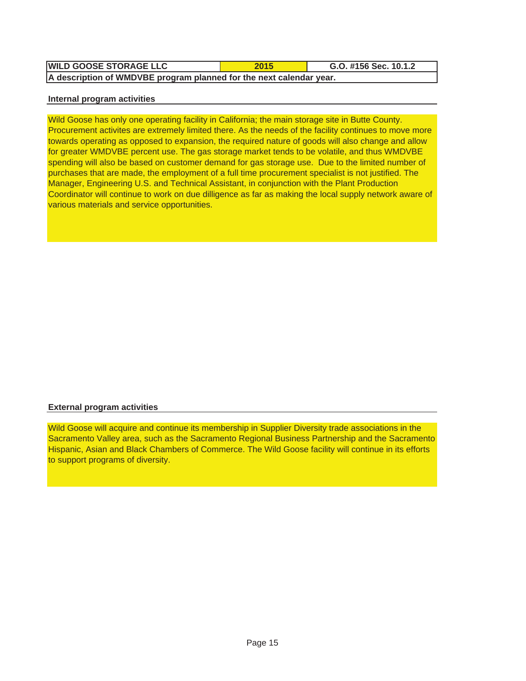| <b>WILD GOOSE STORAGE LLC</b>                                       | 2015 | G.O. #156 Sec. 10.1.2 |  |  |  |  |  |  |
|---------------------------------------------------------------------|------|-----------------------|--|--|--|--|--|--|
| A description of WMDVBE program planned for the next calendar year. |      |                       |  |  |  |  |  |  |

#### **Internal program activities**

Wild Goose has only one operating facility in California; the main storage site in Butte County. Procurement activites are extremely limited there. As the needs of the facility continues to move more towards operating as opposed to expansion, the required nature of goods will also change and allow for greater WMDVBE percent use. The gas storage market tends to be volatile, and thus WMDVBE spending will also be based on customer demand for gas storage use. Due to the limited number of purchases that are made, the employment of a full time procurement specialist is not justified. The Manager, Engineering U.S. and Technical Assistant, in conjunction with the Plant Production Coordinator will continue to work on due dilligence as far as making the local supply network aware of various materials and service opportunities.

### **External program activities**

Wild Goose will acquire and continue its membership in Supplier Diversity trade associations in the Sacramento Valley area, such as the Sacramento Regional Business Partnership and the Sacramento Hispanic, Asian and Black Chambers of Commerce. The Wild Goose facility will continue in its efforts to support programs of diversity.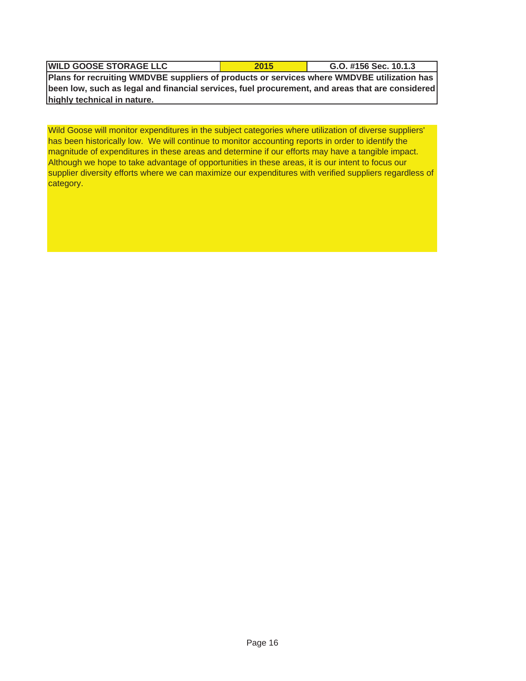| <b>WILD GOOSE STORAGE LLC</b>                                                                   | 2015 | G.O. #156 Sec. 10.1.3 |
|-------------------------------------------------------------------------------------------------|------|-----------------------|
| Plans for recruiting WMDVBE suppliers of products or services where WMDVBE utilization has      |      |                       |
| been low, such as legal and financial services, fuel procurement, and areas that are considered |      |                       |

**highly technical in nature.**

Wild Goose will monitor expenditures in the subject categories where utilization of diverse suppliers' has been historically low. We will continue to monitor accounting reports in order to identify the magnitude of expenditures in these areas and determine if our efforts may have a tangible impact. Although we hope to take advantage of opportunities in these areas, it is our intent to focus our supplier diversity efforts where we can maximize our expenditures with verified suppliers regardless of category.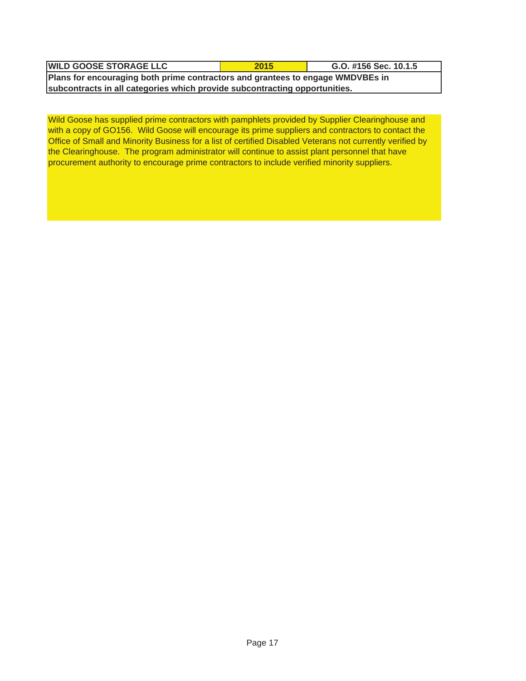| <b>WILD GOOSE STORAGE LLC</b>                                                  | 2015 | G.O. #156 Sec. 10.1.5 |  |  |  |  |  |
|--------------------------------------------------------------------------------|------|-----------------------|--|--|--|--|--|
| Plans for encouraging both prime contractors and grantees to engage WMDVBEs in |      |                       |  |  |  |  |  |
| subcontracts in all categories which provide subcontracting opportunities.     |      |                       |  |  |  |  |  |

Wild Goose has supplied prime contractors with pamphlets provided by Supplier Clearinghouse and with a copy of GO156. Wild Goose will encourage its prime suppliers and contractors to contact the Office of Small and Minority Business for a list of certified Disabled Veterans not currently verified by the Clearinghouse. The program administrator will continue to assist plant personnel that have procurement authority to encourage prime contractors to include verified minority suppliers.